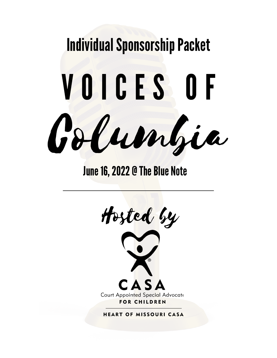

#### June 16, 2022 @ The Blue Note

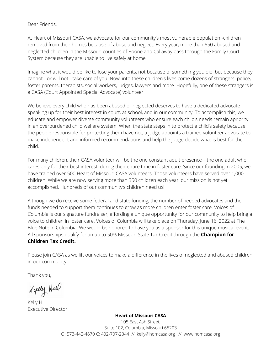Dear Friends,

At Heart of Missouri CASA, we advocate for our community's most vulnerable population -children removed from their homes because of abuse and neglect. Every year, more than 650 abused and neglected children in the Missouri counties of Boone and Callaway pass through the Family Court System because they are unable to live safely at home.

Imagine what it would be like to lose your parents, not because of something you did, but because they cannot - or will not - take care of you. Now, into these children's lives come dozens of strangers: police, foster parents, therapists, social workers, judges, lawyers and more. Hopefully, one of these strangers is a CASA (Court Appointed Special Advocate) volunteer.

We believe every child who has been abused or neglected deserves to have a dedicated advocate speaking up for their best interest in court, at school, and in our community. To accomplish this, we educate and empower diverse community volunteers who ensure each child's needs remain apriority in an overburdened child welfare system. When the state steps in to protect a child's safety because the people responsible for protecting them have not, a judge appoints a trained volunteer advocate to make independent and informed recommendations and help the judge decide what is best for the child.

For many children, their CASA volunteer will be the one constant adult presence—the one adult who cares only for their best interest–during their entire time in foster care. Since our founding in 2005, we have trained over 500 Heart of Missouri CASA volunteers. Those volunteers have served over 1,000 children. While we are now serving more than 350 children each year, our mission is not yet accomplished. Hundreds of our community's children need us!

Although we do receive some federal and state funding, the number of needed advocates and the funds needed to support them continues to grow as more children enter foster care. Voices of Columbia is our signature fundraiser, affording a unique opportunity for our community to help bring a voice to children in foster care. Voices of Columbia will take place on Thursday, June 16, 2022 at The Blue Note in Columbia. We would be honored to have you as a sponsor for this unique musical event. All sponsorships qualify for an up to 50% Missouri State Tax Credit through the **Champion for Children Tax Credit.**

Please join CASA as we lift our voices to make a difference in the lives of neglected and abused children in our community!

Thank you,

Kelly Hiel

Kelly Hill Executive Director

**Heart of Missouri CASA**

105 East Ash Street, Suite 102, Columbia, Missouri 65203 O: 573-442-4670 C: 402-707-2344 [//](mailto://%20%20kelly@homcasa.org) [kelly@homcasa.org](mailto://%20%20kelly@homcasa.org) // www.homcasa.org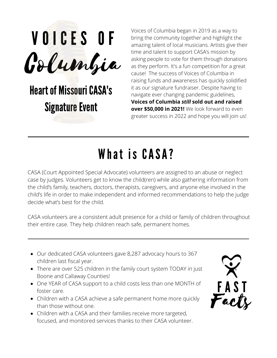

### **Heart of Missouri CASA's Signature Event**

Voices of Columbia began in 2019 as a way to bring the community together and highlight the amazing talent of local musicians. Artists give their time and talent to support CASA's mission by asking people to vote for them through donations as they perform. It's a fun competition for a great cause! The success of Voices of Columbia in raising funds and awareness has quickly solidified it as our signature fundraiser. Despite having to navigate ever changing pandemic guidelines, **Voices of Columbia** *still* **sold out and raised over \$50,000 in 2021!** We look forward to even greater success in 2022 and hope you will join us!

## What is CASA?

CASA (Court Appointed Special Advocate) volunteers are assigned to an abuse or neglect case by judges. Volunteers get to know the child(ren) while also gathering information from the child's family, teachers, doctors, therapists, caregivers, and anyone else involved in the child's life in order to make independent and informed recommendations to help the judge decide what's best for the child.

CASA volunteers are a consistent adult presence for a child or family of children throughout their entire case. They help children reach safe, permanent homes.

- Our dedicated CASA volunteers gave 8,287 advocacy hours to 367 children last fiscal year.
- There are over 525 children in the family court system TODAY in just Boone and Callaway Counties!
- One YEAR of CASA support to a child costs less than one MONTH of foster care.
- Children with a CASA achieve a safe permanent home more quickly than those without one.
- Children with a CASA and their families receive more targeted, focused, and monitored services thanks to their CASA volunteer.

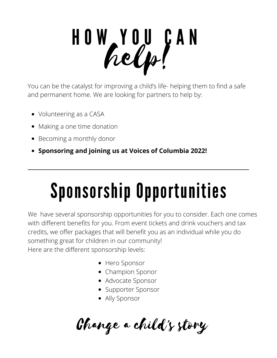# H O W Y O U C A N help!

You can be the catalyst for improving a child's life- helping them to find a safe and permanent home. We are looking for partners to help by:

- Volunteering as a CASA
- Making a one time donation
- Becoming a monthly donor
- **Sponsoring and joining us at Voices of Columbia 2022!**

## Sponsorship Opportunities

We have several sponsorship opportunities for you to consider. Each one comes with different benefits for you. From event tickets and drink vouchers and tax credits, we offer packages that will benefit you as an individual while you do something great for children in our community! Here are the different sponsorship levels:

- Hero Sponsor
- Champion Sponor
- Advocate Sponsor
- Supporter Sponsor
- Ally Sponsor

Change a child's story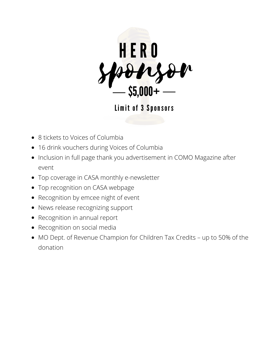

Limit of 3 Sponsors

- 8 tickets to Voices of Columbia
- 16 drink vouchers during Voices of Columbia
- Inclusion in full page thank you advertisement in COMO Magazine after event
- Top coverage in CASA monthly e-newsletter
- Top recognition on CASA webpage
- Recognition by emcee night of event
- News release recognizing support
- Recognition in annual report
- Recognition on social media
- MO Dept. of Revenue Champion for Children Tax Credits up to 50% of the donation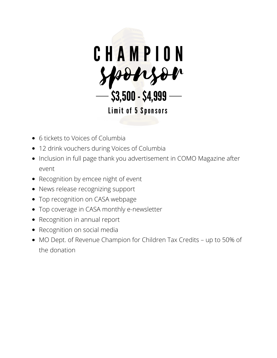

- 6 tickets to Voices of Columbia
- 12 drink vouchers during Voices of Columbia
- Inclusion in full page thank you advertisement in COMO Magazine after event
- Recognition by emcee night of event
- News release recognizing support
- Top recognition on CASA webpage
- Top coverage in CASA monthly e-newsletter
- Recognition in annual report
- Recognition on social media
- MO Dept. of Revenue Champion for Children Tax Credits up to 50% of the donation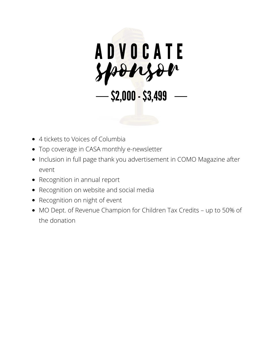

- 4 tickets to Voices of Columbia
- Top coverage in CASA monthly e-newsletter
- Inclusion in full page thank you advertisement in COMO Magazine after event
- Recognition in annual report
- Recognition on website and social media
- Recognition on night of event
- MO Dept. of Revenue Champion for Children Tax Credits up to 50% of the donation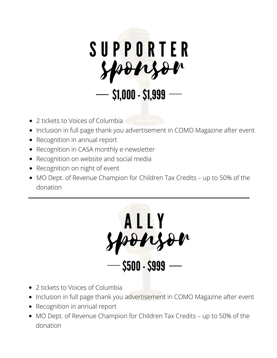

- 2 tickets to Voices of Columbia
- Inclusion in full page thank you advertisement in COMO Magazine after event
- Recognition in annual report
- Recognition in CASA monthly e-newsletter
- Recognition on website and social media
- Recognition on night of event
- MO Dept. of Revenue Champion for Children Tax Credits up to 50% of the donation



- 2 tickets to Voices of Columbia
- Inclusion in full page thank you advertisement in COMO Magazine after event
- Recognition in annual report
- MO Dept. of Revenue Champion for Children Tax Credits up to 50% of the donation